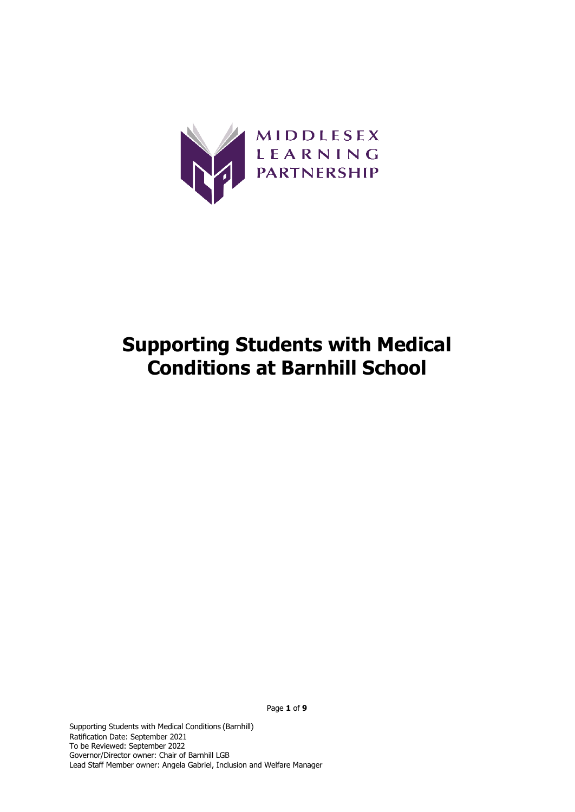

# **Supporting Students with Medical Conditions at Barnhill School**

Supporting Students with Medical Conditions (Barnhill) Ratification Date: September 2021 To be Reviewed: September 2022 Governor/Director owner: Chair of Barnhill LGB

Lead Staff Member owner: Angela Gabriel, Inclusion and Welfare Manager

Page **1** of **9**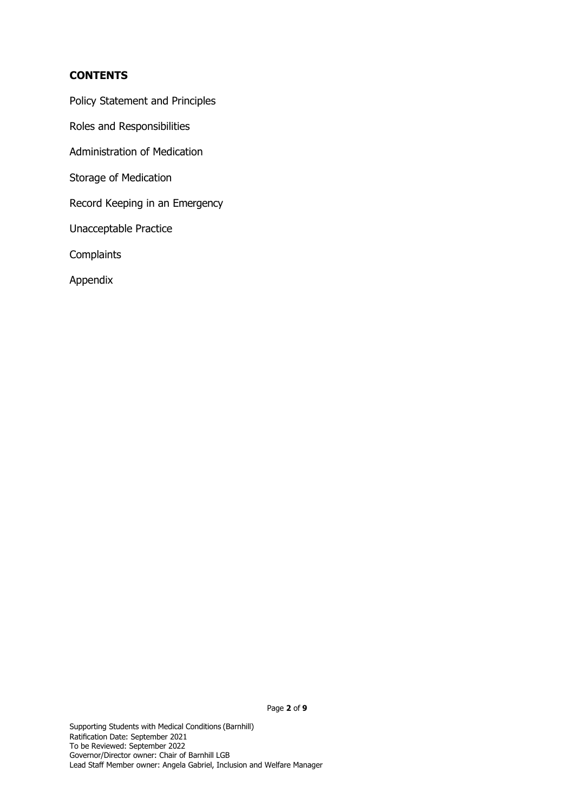# **CONTENTS**

Policy Statement and Principles

Roles and Responsibilities

Administration of Medication

Storage of Medication

Record Keeping in an Emergency

Unacceptable Practice

**Complaints** 

Appendix

Page **2** of **9**

Supporting Students with Medical Conditions (Barnhill) Ratification Date: September 2021 To be Reviewed: September 2022 Governor/Director owner: Chair of Barnhill LGB Lead Staff Member owner: Angela Gabriel, Inclusion and Welfare Manager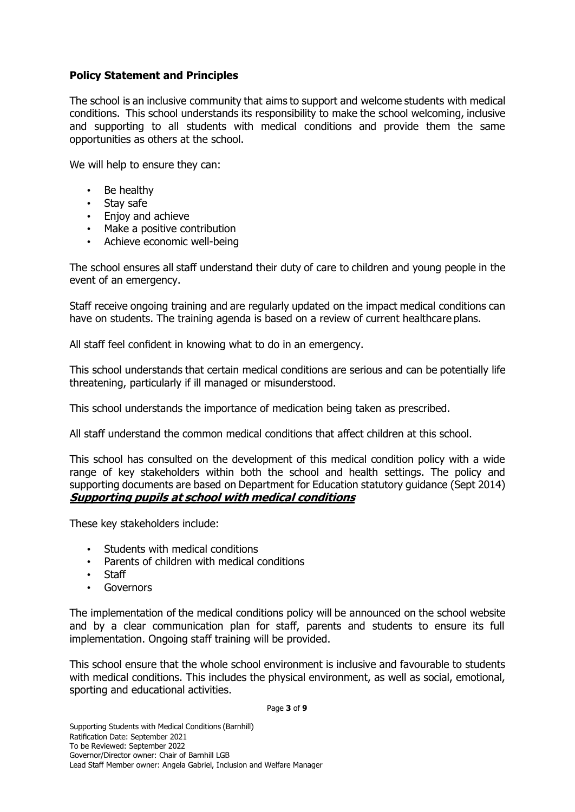# **Policy Statement and Principles**

The school is an inclusive community that aims to support and welcome students with medical conditions. This school understands its responsibility to make the school welcoming, inclusive and supporting to all students with medical conditions and provide them the same opportunities as others at the school.

We will help to ensure they can:

- Be healthy
- Stay safe
- Enjoy and achieve
- Make a positive contribution
- Achieve economic well-being

The school ensures all staff understand their duty of care to children and young people in the event of an emergency.

Staff receive ongoing training and are regularly updated on the impact medical conditions can have on students. The training agenda is based on a review of current healthcare plans.

All staff feel confident in knowing what to do in an emergency.

This school understands that certain medical conditions are serious and can be potentially life threatening, particularly if ill managed or misunderstood.

This school understands the importance of medication being taken as prescribed.

All staff understand the common medical conditions that affect children at this school.

This school has consulted on the development of this medical condition policy with a wide range of key stakeholders within both the school and health settings. The policy and supporting documents are based on Department for Education statutory guidance (Sept 2014) **Supporting pupils at school with medical conditions**

These key stakeholders include:

- Students with medical conditions
- Parents of children with medical conditions
- Staff
- **Governors**

The implementation of the medical conditions policy will be announced on the school website and by a clear communication plan for staff, parents and students to ensure its full implementation. Ongoing staff training will be provided.

This school ensure that the whole school environment is inclusive and favourable to students with medical conditions. This includes the physical environment, as well as social, emotional, sporting and educational activities.

Page **3** of **9**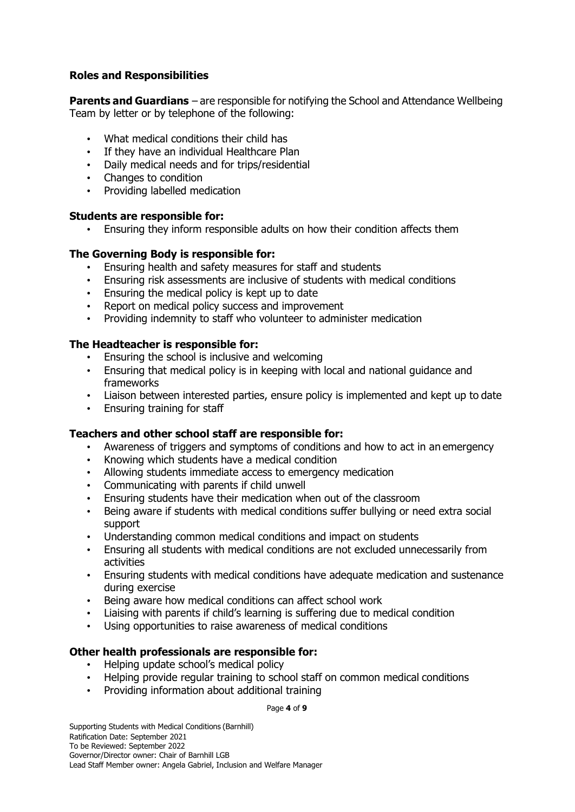# **Roles and Responsibilities**

**Parents and Guardians** – are responsible for notifying the School and Attendance Wellbeing Team by letter or by telephone of the following:

- What medical conditions their child has
- If they have an individual Healthcare Plan
- Daily medical needs and for trips/residential
- Changes to condition
- Providing labelled medication

## **Students are responsible for:**

• Ensuring they inform responsible adults on how their condition affects them

## **The Governing Body is responsible for:**

- Ensuring health and safety measures for staff and students
- Ensuring risk assessments are inclusive of students with medical conditions
- Ensuring the medical policy is kept up to date
- Report on medical policy success and improvement
- Providing indemnity to staff who volunteer to administer medication

## **The Headteacher is responsible for:**

- Ensuring the school is inclusive and welcoming
- Ensuring that medical policy is in keeping with local and national guidance and frameworks
- Liaison between interested parties, ensure policy is implemented and kept up to date
- Ensuring training for staff

# **Teachers and other school staff are responsible for:**

- Awareness of triggers and symptoms of conditions and how to act in an emergency
- Knowing which students have a medical condition
- Allowing students immediate access to emergency medication
- Communicating with parents if child unwell
- Ensuring students have their medication when out of the classroom
- Being aware if students with medical conditions suffer bullying or need extra social support
- Understanding common medical conditions and impact on students
- Ensuring all students with medical conditions are not excluded unnecessarily from activities
- Ensuring students with medical conditions have adequate medication and sustenance during exercise
- Being aware how medical conditions can affect school work
- Liaising with parents if child's learning is suffering due to medical condition
- Using opportunities to raise awareness of medical conditions

# **Other health professionals are responsible for:**

- Helping update school's medical policy
- Helping provide regular training to school staff on common medical conditions
- Providing information about additional training

Page **4** of **9**

Supporting Students with Medical Conditions (Barnhill) Ratification Date: September 2021 To be Reviewed: September 2022 Governor/Director owner: Chair of Barnhill LGB Lead Staff Member owner: Angela Gabriel, Inclusion and Welfare Manager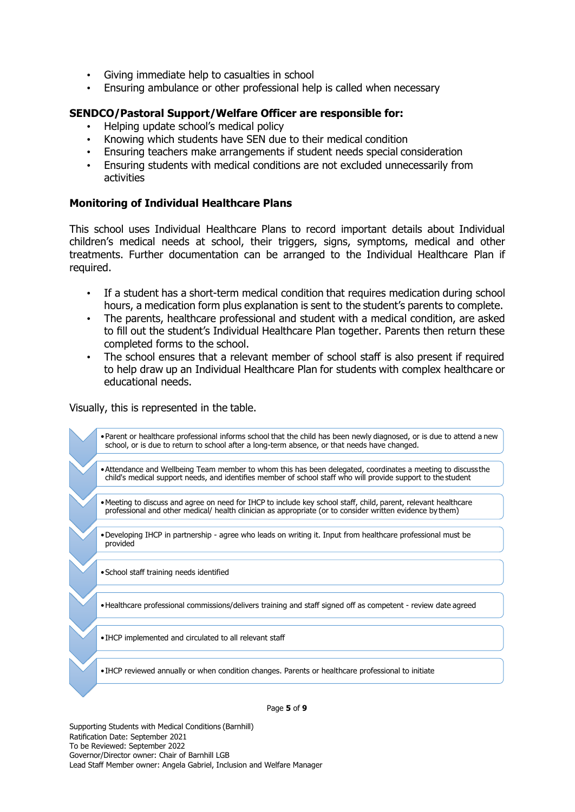- Giving immediate help to casualties in school
- Ensuring ambulance or other professional help is called when necessary

### **SENDCO/Pastoral Support/Welfare Officer are responsible for:**

- Helping update school's medical policy
- Knowing which students have SEN due to their medical condition
- Ensuring teachers make arrangements if student needs special consideration
- Ensuring students with medical conditions are not excluded unnecessarily from activities

#### **Monitoring of Individual Healthcare Plans**

This school uses Individual Healthcare Plans to record important details about Individual children's medical needs at school, their triggers, signs, symptoms, medical and other treatments. Further documentation can be arranged to the Individual Healthcare Plan if required.

- If a student has a short-term medical condition that requires medication during school hours, a medication form plus explanation is sent to the student's parents to complete.
- The parents, healthcare professional and student with a medical condition, are asked to fill out the student's Individual Healthcare Plan together. Parents then return these completed forms to the school.
- The school ensures that a relevant member of school staff is also present if required to help draw up an Individual Healthcare Plan for students with complex healthcare or educational needs.

Visually, this is represented in the table.

•Parent or healthcare professional informs school that the child has been newly diagnosed, or is due to attend a new school, or is due to return to school after a long-term absence, or that needs have changed.

- •Attendance and Wellbeing Team member to whom this has been delegated, coordinates a meeting to discuss the child's medical support needs, and identifies member of school staff who will provide support to the student
- •Meeting to discuss and agree on need for IHCP to include key school staff, child, parent, relevant healthcare professional and other medical/ health clinician as appropriate (or to consider written evidence by them)
- •Developing IHCP in partnership agree who leads on writing it. Input from healthcare professional must be provided
- •School staff training needs identified

•Healthcare professional commissions/delivers training and staff signed off as competent - review date agreed

•IHCP implemented and circulated to all relevant staff

•IHCP reviewed annually or when condition changes. Parents or healthcare professional to initiate

Page **5** of **9**

Supporting Students with Medical Conditions (Barnhill) Ratification Date: September 2021 To be Reviewed: September 2022 Governor/Director owner: Chair of Barnhill LGB Lead Staff Member owner: Angela Gabriel, Inclusion and Welfare Manager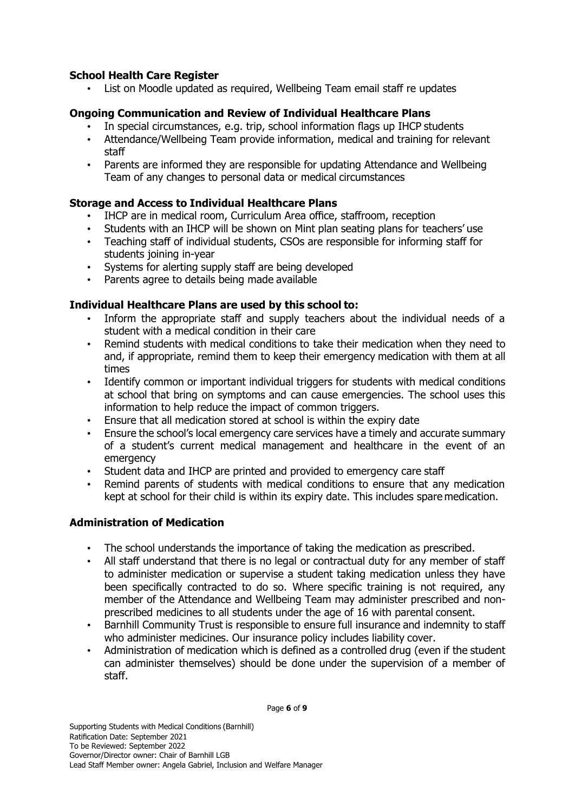# **School Health Care Register**

• List on Moodle updated as required, Wellbeing Team email staff re updates

# **Ongoing Communication and Review of Individual Healthcare Plans**

- In special circumstances, e.g. trip, school information flags up IHCP students
- Attendance/Wellbeing Team provide information, medical and training for relevant staff
- Parents are informed they are responsible for updating Attendance and Wellbeing Team of any changes to personal data or medical circumstances

# **Storage and Access to Individual Healthcare Plans**

- IHCP are in medical room, Curriculum Area office, staffroom, reception
- Students with an IHCP will be shown on Mint plan seating plans for teachers' use
- Teaching staff of individual students, CSOs are responsible for informing staff for students joining in-year
- Systems for alerting supply staff are being developed
- Parents agree to details being made available

## **Individual Healthcare Plans are used by this school to:**

- Inform the appropriate staff and supply teachers about the individual needs of a student with a medical condition in their care
- Remind students with medical conditions to take their medication when they need to and, if appropriate, remind them to keep their emergency medication with them at all times
- Identify common or important individual triggers for students with medical conditions at school that bring on symptoms and can cause emergencies. The school uses this information to help reduce the impact of common triggers.
- Ensure that all medication stored at school is within the expiry date
- Ensure the school's local emergency care services have a timely and accurate summary of a student's current medical management and healthcare in the event of an emergency
- Student data and IHCP are printed and provided to emergency care staff
- Remind parents of students with medical conditions to ensure that any medication kept at school for their child is within its expiry date. This includes spare medication.

# **Administration of Medication**

- The school understands the importance of taking the medication as prescribed.
- All staff understand that there is no legal or contractual duty for any member of staff to administer medication or supervise a student taking medication unless they have been specifically contracted to do so. Where specific training is not required, any member of the Attendance and Wellbeing Team may administer prescribed and nonprescribed medicines to all students under the age of 16 with parental consent.
- Barnhill Community Trust is responsible to ensure full insurance and indemnity to staff who administer medicines. Our insurance policy includes liability cover.
- Administration of medication which is defined as a controlled drug (even if the student can administer themselves) should be done under the supervision of a member of staff.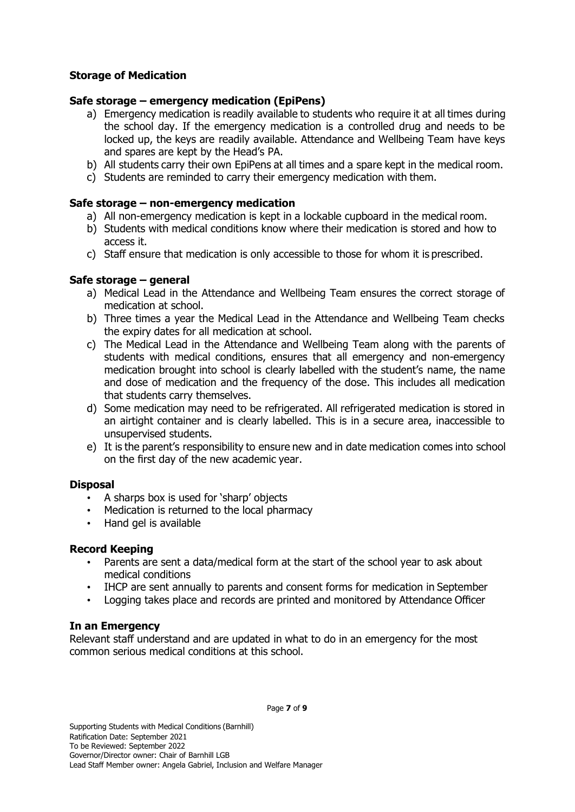# **Storage of Medication**

### **Safe storage – emergency medication (EpiPens)**

- a) Emergency medication is readily available to students who require it at all times during the school day. If the emergency medication is a controlled drug and needs to be locked up, the keys are readily available. Attendance and Wellbeing Team have keys and spares are kept by the Head's PA.
- b) All students carry their own EpiPens at all times and a spare kept in the medical room.
- c) Students are reminded to carry their emergency medication with them.

### **Safe storage – non-emergency medication**

- a) All non-emergency medication is kept in a lockable cupboard in the medical room.
- b) Students with medical conditions know where their medication is stored and how to access it.
- c) Staff ensure that medication is only accessible to those for whom it is prescribed.

## **Safe storage – general**

- a) Medical Lead in the Attendance and Wellbeing Team ensures the correct storage of medication at school.
- b) Three times a year the Medical Lead in the Attendance and Wellbeing Team checks the expiry dates for all medication at school.
- c) The Medical Lead in the Attendance and Wellbeing Team along with the parents of students with medical conditions, ensures that all emergency and non-emergency medication brought into school is clearly labelled with the student's name, the name and dose of medication and the frequency of the dose. This includes all medication that students carry themselves.
- d) Some medication may need to be refrigerated. All refrigerated medication is stored in an airtight container and is clearly labelled. This is in a secure area, inaccessible to unsupervised students.
- e) It is the parent's responsibility to ensure new and in date medication comes into school on the first day of the new academic year.

#### **Disposal**

- A sharps box is used for 'sharp' objects
- Medication is returned to the local pharmacy
- Hand gel is available

#### **Record Keeping**

- Parents are sent a data/medical form at the start of the school year to ask about medical conditions
- IHCP are sent annually to parents and consent forms for medication in September
- Logging takes place and records are printed and monitored by Attendance Officer

#### **In an Emergency**

Relevant staff understand and are updated in what to do in an emergency for the most common serious medical conditions at this school.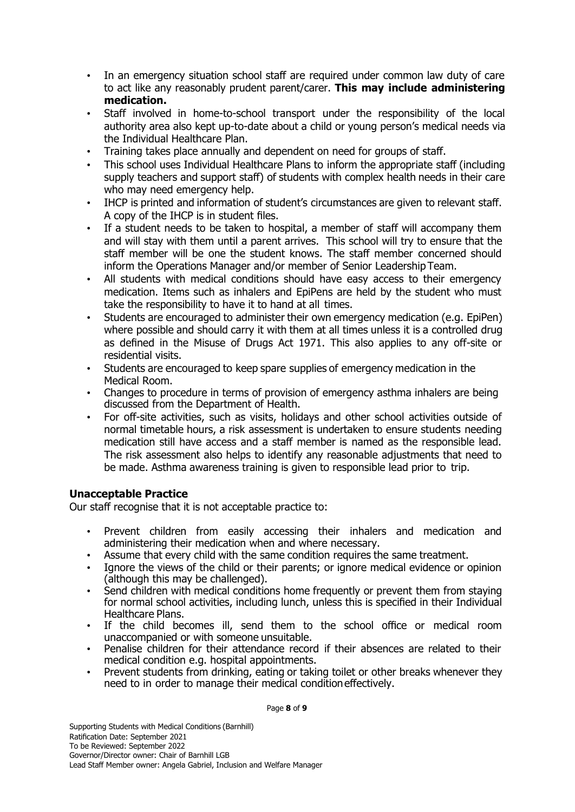- In an emergency situation school staff are required under common law duty of care to act like any reasonably prudent parent/carer. **This may include administering medication.**
- Staff involved in home-to-school transport under the responsibility of the local authority area also kept up-to-date about a child or young person's medical needs via the Individual Healthcare Plan.
- Training takes place annually and dependent on need for groups of staff.
- This school uses Individual Healthcare Plans to inform the appropriate staff (including supply teachers and support staff) of students with complex health needs in their care who may need emergency help.
- IHCP is printed and information of student's circumstances are given to relevant staff. A copy of the IHCP is in student files.
- If a student needs to be taken to hospital, a member of staff will accompany them and will stay with them until a parent arrives. This school will try to ensure that the staff member will be one the student knows. The staff member concerned should inform the Operations Manager and/or member of Senior Leadership Team.
- All students with medical conditions should have easy access to their emergency medication. Items such as inhalers and EpiPens are held by the student who must take the responsibility to have it to hand at all times.
- Students are encouraged to administer their own emergency medication (e.g. EpiPen) where possible and should carry it with them at all times unless it is a controlled drug as defined in the Misuse of Drugs Act 1971. This also applies to any off-site or residential visits.
- Students are encouraged to keep spare supplies of emergency medication in the Medical Room.
- Changes to procedure in terms of provision of emergency asthma inhalers are being discussed from the Department of Health.
- For off-site activities, such as visits, holidays and other school activities outside of normal timetable hours, a risk assessment is undertaken to ensure students needing medication still have access and a staff member is named as the responsible lead. The risk assessment also helps to identify any reasonable adjustments that need to be made. Asthma awareness training is given to responsible lead prior to trip.

#### **Unacceptable Practice**

Our staff recognise that it is not acceptable practice to:

- Prevent children from easily accessing their inhalers and medication and administering their medication when and where necessary.
- Assume that every child with the same condition requires the same treatment.
- Ignore the views of the child or their parents; or ignore medical evidence or opinion (although this may be challenged).
- Send children with medical conditions home frequently or prevent them from staying for normal school activities, including lunch, unless this is specified in their Individual Healthcare Plans.
- If the child becomes ill, send them to the school office or medical room unaccompanied or with someone unsuitable.
- Penalise children for their attendance record if their absences are related to their medical condition e.g. hospital appointments.
- Prevent students from drinking, eating or taking toilet or other breaks whenever they need to in order to manage their medical conditioneffectively.

Page **8** of **9**